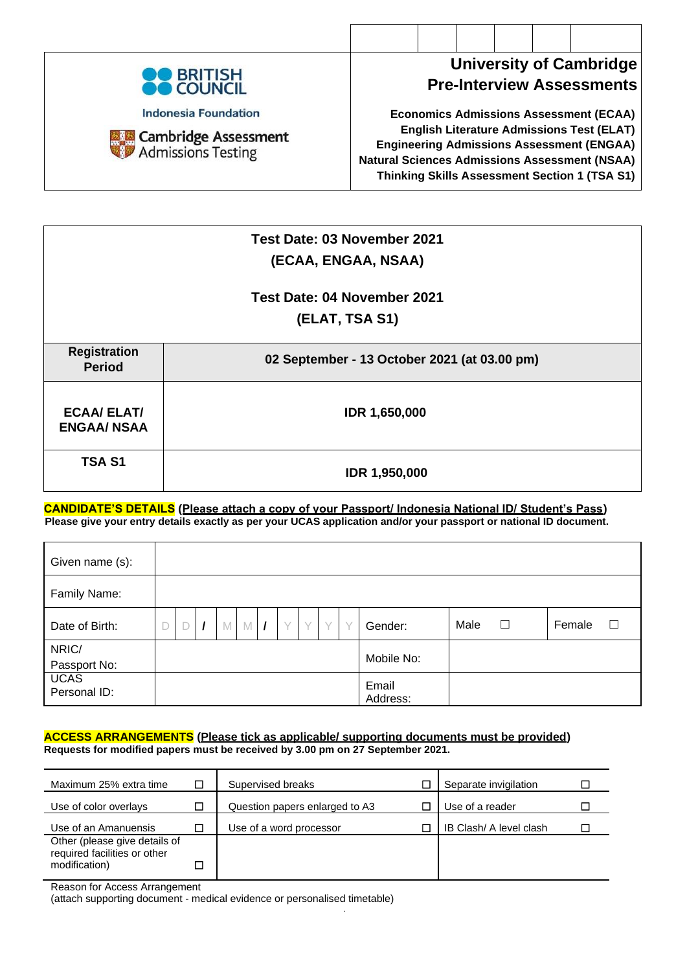

**University of Cambridge Pre-Interview Assessments**

**Economics Admissions Assessment (ECAA) English Literature Admissions Test (ELAT) Engineering Admissions Assessment (ENGAA) Natural Sciences Admissions Assessment (NSAA) Thinking Skills Assessment Section 1 (TSA S1)**

|                                          | Test Date: 03 November 2021<br>(ECAA, ENGAA, NSAA) |
|------------------------------------------|----------------------------------------------------|
|                                          | Test Date: 04 November 2021                        |
|                                          | (ELAT, TSA S1)                                     |
| <b>Registration</b><br><b>Period</b>     | 02 September - 13 October 2021 (at 03.00 pm)       |
| <b>ECAA/ ELAT/</b><br><b>ENGAA/ NSAA</b> | <b>IDR 1,650,000</b>                               |
| <b>TSA S1</b>                            | <b>IDR 1,950,000</b>                               |

**CANDIDATE'S DETAILS (Please attach a copy of your Passport/ Indonesia National ID/ Student's Pass) Please give your entry details exactly as per your UCAS application and/or your passport or national ID document.**

| Given name (s):             |   |  |   |   |        |        |        |        |                   |      |   |        |   |
|-----------------------------|---|--|---|---|--------|--------|--------|--------|-------------------|------|---|--------|---|
| Family Name:                |   |  |   |   |        |        |        |        |                   |      |   |        |   |
| Date of Birth:              | D |  | M | M | $\vee$ | $\vee$ | $\vee$ | $\vee$ | Gender:           | Male | ⊔ | Female | Ш |
| NRIC/                       |   |  |   |   |        |        |        |        |                   |      |   |        |   |
| Passport No:                |   |  |   |   |        |        |        |        | Mobile No:        |      |   |        |   |
| <b>UCAS</b><br>Personal ID: |   |  |   |   |        |        |        |        | Email<br>Address: |      |   |        |   |

#### **ACCESS ARRANGEMENTS (Please tick as applicable/ supporting documents must be provided) Requests for modified papers must be received by 3.00 pm on 27 September 2021.**

| Maximum 25% extra time                                        | □ | Supervised breaks              | Separate invigilation   |  |
|---------------------------------------------------------------|---|--------------------------------|-------------------------|--|
| Use of color overlays                                         |   | Question papers enlarged to A3 | Use of a reader         |  |
| Use of an Amanuensis                                          |   | Use of a word processor        | IB Clash/ A level clash |  |
| Other (please give details of<br>required facilities or other |   |                                |                         |  |
| modification)                                                 |   |                                |                         |  |

*.*

Reason for Access Arrangement

(attach supporting document - medical evidence or personalised timetable)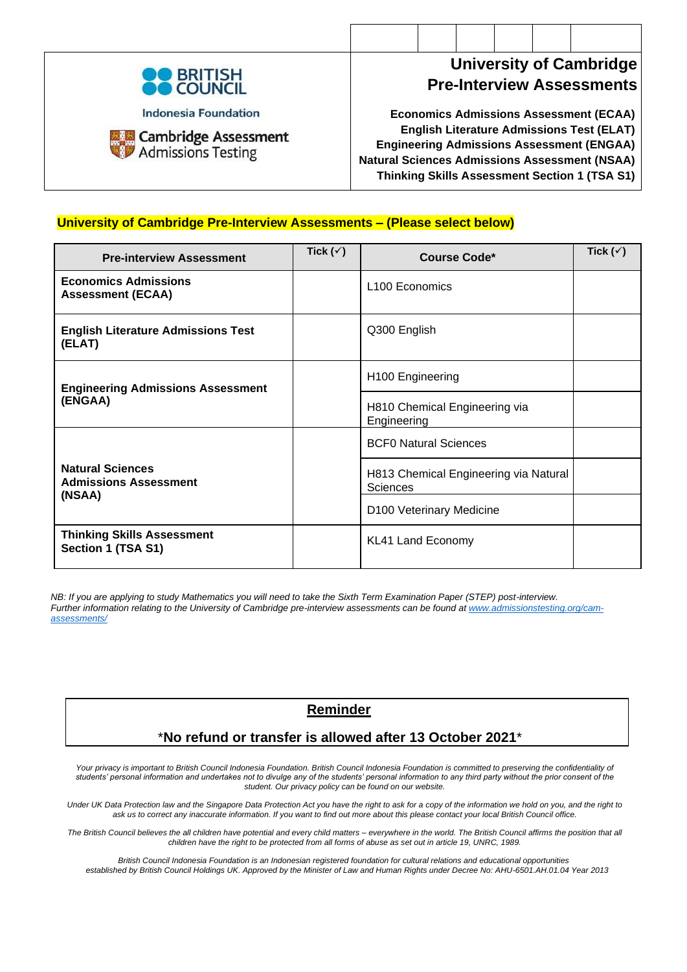

**Cambridge Assessment** Admissions Testing

## **University of Cambridge Pre-Interview Assessments**

**Economics Admissions Assessment (ECAA) English Literature Admissions Test (ELAT) Engineering Admissions Assessment (ENGAA) Natural Sciences Admissions Assessment (NSAA) Thinking Skills Assessment Section 1 (TSA S1)**

### **University of Cambridge Pre-Interview Assessments – (Please select below)**

| <b>Pre-interview Assessment</b>                         | Tick $(\check{v})$ | Course Code*                                      | Tick $(\check{v})$ |
|---------------------------------------------------------|--------------------|---------------------------------------------------|--------------------|
| <b>Economics Admissions</b><br><b>Assessment (ECAA)</b> |                    | L <sub>100</sub> Economics                        |                    |
| <b>English Literature Admissions Test</b><br>(ELAT)     |                    | Q300 English                                      |                    |
| <b>Engineering Admissions Assessment</b>                |                    | H100 Engineering                                  |                    |
| (ENGAA)                                                 |                    | H810 Chemical Engineering via<br>Engineering      |                    |
|                                                         |                    | <b>BCF0 Natural Sciences</b>                      |                    |
| <b>Natural Sciences</b><br><b>Admissions Assessment</b> |                    | H813 Chemical Engineering via Natural<br>Sciences |                    |
| (NSAA)                                                  |                    | D100 Veterinary Medicine                          |                    |
| <b>Thinking Skills Assessment</b><br>Section 1 (TSA S1) |                    | KL41 Land Economy                                 |                    |

*NB: If you are applying to study Mathematics you will need to take the Sixth Term Examination Paper (STEP) post-interview. Further information relating to the University of Cambridge pre-interview assessments can be found a[t www.admissionstesting.org/cam](http://www.admissionstesting.org/cam-assessments/)[assessments/](http://www.admissionstesting.org/cam-assessments/)*

## **Reminder**

### \***No refund or transfer is allowed after 13 October 2021**\*

Your privacy is important to British Council Indonesia Foundation. British Council Indonesia Foundation is committed to preserving the confidentiality of *students' personal information and undertakes not to divulge any of the students' personal information to any third party without the prior consent of the student. Our privacy policy can be found on our website.*

*Under UK Data Protection law and the Singapore Data Protection Act you have the right to ask for a copy of the information we hold on you, and the right to ask us to correct any inaccurate information. If you want to find out more about this please contact your local British Council office.*

*The British Council believes the all children have potential and every child matters – everywhere in the world. The British Council affirms the position that all children have the right to be protected from all forms of abuse as set out in article 19, UNRC, 1989.*

*British Council Indonesia Foundation is an Indonesian registered foundation for cultural relations and educational opportunities established by British Council Holdings UK. Approved by the Minister of Law and Human Rights under Decree No: AHU-6501.AH.01.04 Year 2013*